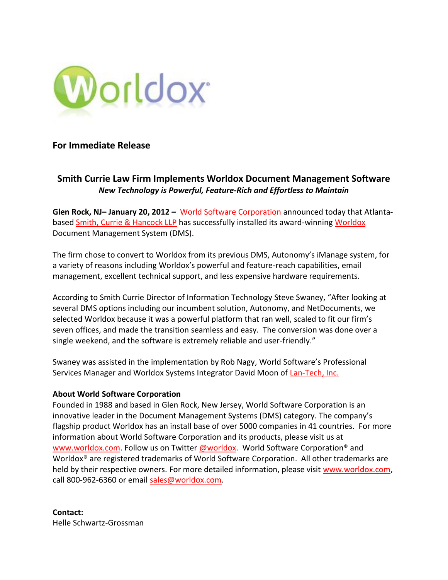

## **For Immediate Release**

## **Smith Currie Law Firm Implements Worldox Document Management Software** *New Technology is Powerful, Feature-Rich and Effortless to Maintain*

**Glen Rock, NJ– January 20, 2012 –** [World Software Corporation](http://www.worldox.com/) announced today that Atlanta-based [Smith, Currie & Hancock LLP](http://www.smithcurrie.com/) has successfully installed its award-winnin[g Worldox](http://www.worldox.com/) Document Management System (DMS).

The firm chose to convert to Worldox from its previous DMS, Autonomy's iManage system, for a variety of reasons including Worldox's powerful and feature-reach capabilities, email management, excellent technical support, and less expensive hardware requirements.

According to Smith Currie Director of Information Technology Steve Swaney, "After looking at several DMS options including our incumbent solution, Autonomy, and NetDocuments, we selected Worldox because it was a powerful platform that ran well, scaled to fit our firm's seven offices, and made the transition seamless and easy. The conversion was done over a single weekend, and the software is extremely reliable and user-friendly."

Swaney was assisted in the implementation by Rob Nagy, World Software's Professional Services Manager and Worldox Systems Integrator David Moon of [Lan-Tech, Inc.](http://www.lan-tech.com/) 

## **About World Software Corporation**

Founded in 1988 and based in Glen Rock, New Jersey, World Software Corporation is an innovative leader in the Document Management Systems (DMS) category. The company's flagship product Worldox has an install base of over 5000 companies in 41 countries. For more information about World Software Corporation and its products, please visit us at [www.worldox.com.](http://www.worldox.com/) Follow us on Twitter [@worldox.](http://www.twitter.com/worldox) World Software Corporation® and Worldox® are registered trademarks of World Software Corporation. All other trademarks are held by their respective owners. For more detailed information, please visit [www.worldox.com,](http://www.worldox.com/) call 800-962-6360 or email [sales@worldox.com.](mailto:sales@worldox.com)

**Contact:**  Helle Schwartz-Grossman